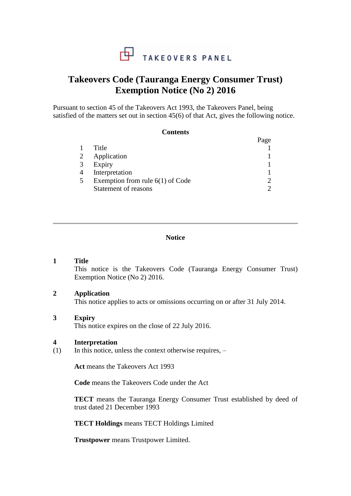

# **Takeovers Code (Tauranga Energy Consumer Trust) Exemption Notice (No 2) 2016**

Pursuant to section 45 of the Takeovers Act 1993, the Takeovers Panel, being satisfied of the matters set out in section 45(6) of that Act, gives the following notice.

**Contents**

| Contents                           |      |
|------------------------------------|------|
|                                    | Page |
| Title                              |      |
| 2<br>Application                   |      |
| Expiry                             |      |
| Interpretation                     |      |
| Exemption from rule $6(1)$ of Code |      |
| Statement of reasons               |      |
|                                    |      |

# **Notice**

## **1 Title**

This notice is the Takeovers Code (Tauranga Energy Consumer Trust) Exemption Notice (No 2) 2016.

## **2 Application**

This notice applies to acts or omissions occurring on or after 31 July 2014.

#### **3 Expiry**

This notice expires on the close of 22 July 2016.

#### **4 Interpretation**

 $(1)$  In this notice, unless the context otherwise requires, –

**Act** means the Takeovers Act 1993

**Code** means the Takeovers Code under the Act

**TECT** means the Tauranga Energy Consumer Trust established by deed of trust dated 21 December 1993

**TECT Holdings** means TECT Holdings Limited

**Trustpower** means Trustpower Limited.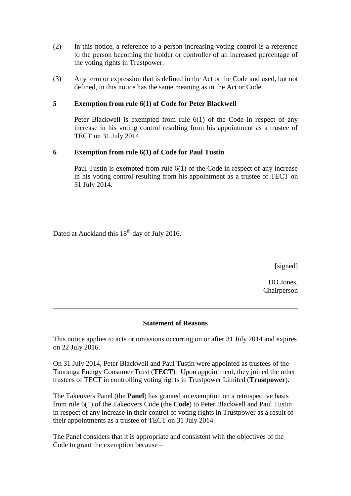- (2) In this notice, a reference to a person increasing voting control is a reference to the person becoming the holder or controller of an increased percentage of the voting rights in Trustpower.
- (3) Any term or expression that is defined in the Act or the Code and used, but not defined, in this notice has the same meaning as in the Act or Code.

# **5 Exemption from rule 6(1) of Code for Peter Blackwell**

Peter Blackwell is exempted from rule 6(1) of the Code in respect of any increase in his voting control resulting from his appointment as a trustee of TECT on 31 July 2014.

# **6 Exemption from rule 6(1) of Code for Paul Tustin**

Paul Tustin is exempted from rule 6(1) of the Code in respect of any increase in his voting control resulting from his appointment as a trustee of TECT on 31 July 2014.

Dated at Auckland this  $18<sup>th</sup>$  day of July 2016.

[signed]

DO Jones, Chairperson

## **Statement of Reasons**

This notice applies to acts or omissions occurring on or after 31 July 2014 and expires on 22 July 2016.

On 31 July 2014, Peter Blackwell and Paul Tustin were appointed as trustees of the Tauranga Energy Consumer Trust (**TECT**). Upon appointment, they joined the other trustees of TECT in controlling voting rights in Trustpower Limited (**Trustpower**).

The Takeovers Panel (the **Panel**) has granted an exemption on a retrospective basis from rule 6(1) of the Takeovers Code (the **Code**) to Peter Blackwell and Paul Tustin in respect of any increase in their control of voting rights in Trustpower as a result of their appointments as a trustee of TECT on 31 July 2014.

The Panel considers that it is appropriate and consistent with the objectives of the Code to grant the exemption because –